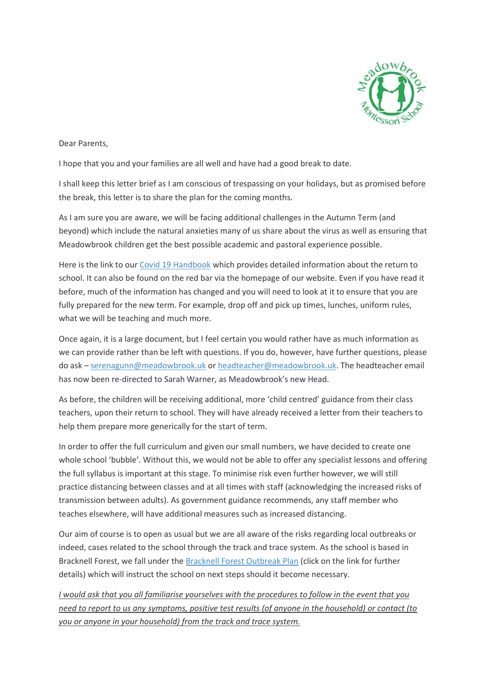

Dear Parents,

I hope that you and your families are all well and have had a good break to date.

I shall keep this letter brief as I am conscious of trespassing on your holidays, but as promised before the break, this letter is to share the plan for the coming months.

As I am sure you are aware, we will be facing additional challenges in the Autumn Term (and beyond) which include the natural anxieties many of us share about the virus as well as ensuring that Meadowbrook children get the best possible academic and pastoral experience possible.

Here is the link to our [Covid 19 Handbook](https://meadowbrookmontessori-my.sharepoint.com/:w:/g/personal/sbm_meadowbrook_uk/EVPwbHzlOg1IhGK3MqxEX6QBYOi27Yh4cJFOcndbv4tAAQ?e=s03u1r) which provides detailed information about the return to school. It can also be found on the red bar via the homepage of our website. Even if you have read it before, much of the information has changed and you will need to look at it to ensure that you are fully prepared for the new term. For example, drop off and pick up times, lunches, uniform rules, what we will be teaching and much more.

Once again, it is a large document, but I feel certain you would rather have as much information as we can provide rather than be left with questions. If you do, however, have further questions, please do ask – [serenagunn@meadowbrook.uk](mailto:serenagunn@meadowbrook.uk) or [headteacher@meadowbrook.uk.](mailto:headteacher@meadowbrook.uk) The headteacher email has now been re-directed to Sarah Warner, as Meadowbrook's new Head.

As before, the children will be receiving additional, more 'child centred' guidance from their class teachers, upon their return to school. They will have already received a letter from their teachers to help them prepare more generically for the start of term.

In order to offer the full curriculum and given our small numbers, we have decided to create one whole school 'bubble'. Without this, we would not be able to offer any specialist lessons and offering the full syllabus is important at this stage. To minimise risk even further however, we will still practice distancing between classes and at all times with staff (acknowledging the increased risks of transmission between adults). As government guidance recommends, any staff member who teaches elsewhere, will have additional measures such as increased distancing.

Our aim of course is to open as usual but we are all aware of the risks regarding local outbreaks or indeed, cases related to the school through the track and trace system. As the school is based in Bracknell Forest, we fall under the [Bracknell Forest Outbreak Plan](https://www.bracknell-forest.gov.uk/sites/default/files/documents/bracknell-forest-council-outbreak-control-plan-summary.pdf) (click on the link for further details) which will instruct the school on next steps should it become necessary.

*I would ask that you all familiarise yourselves with the procedures to follow in the event that you need to report to us any symptoms, positive test results (of anyone in the household) or contact (to you or anyone in your household) from the track and trace system.*